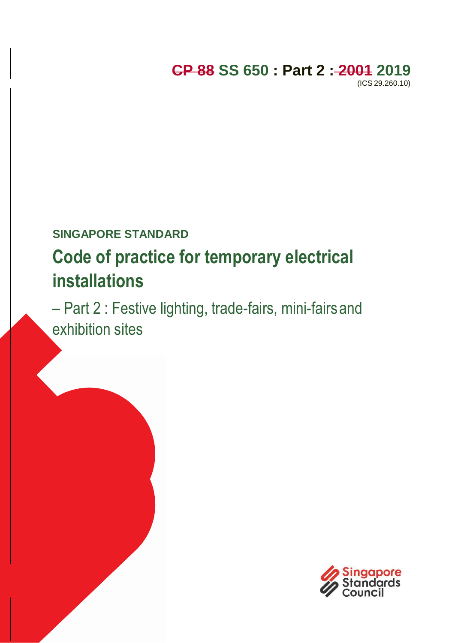# **CP 88 SS 650 : Part 2 : 2001 2019**

(ICS 29.260.10)

# **SINGAPORE STANDARD**

# **Code of practice for temporary electrical installations**

– Part 2 : Festive lighting, trade-fairs, mini-fairsand exhibition sites

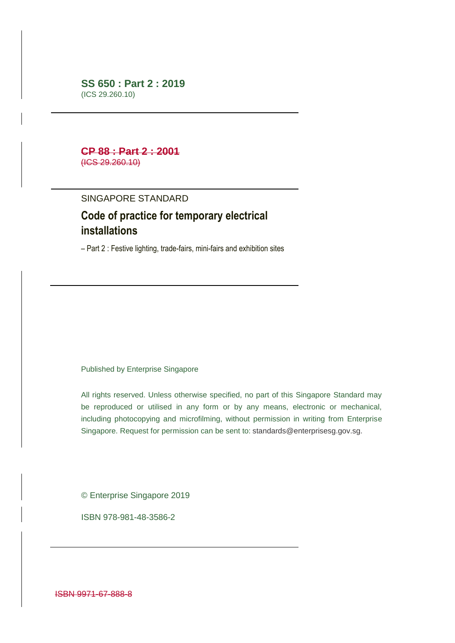#### **SS 650 : Part 2 : 2019** (ICS 29.260.10)

#### **CP 88 : Part 2 : 2001** (ICS 29.260.10)

#### SINGAPORE STANDARD

## **Code of practice for temporary electrical installations**

– Part 2 : Festive lighting, trade-fairs, mini-fairs and exhibition sites

Published by Enterprise Singapore

All rights reserved. Unless otherwise specified, no part of this Singapore Standard may be reproduced or utilised in any form or by any means, electronic or mechanical, including photocopying and microfilming, without permission in writing from Enterprise Singapore. Request for permission can be sent to: [standards@enterprisesg.gov.sg.](mailto:standards@enterprisesg.gov.sg)

© Enterprise Singapore 2019

ISBN 978-981-48-3586-2

ISBN 9971-67-888-8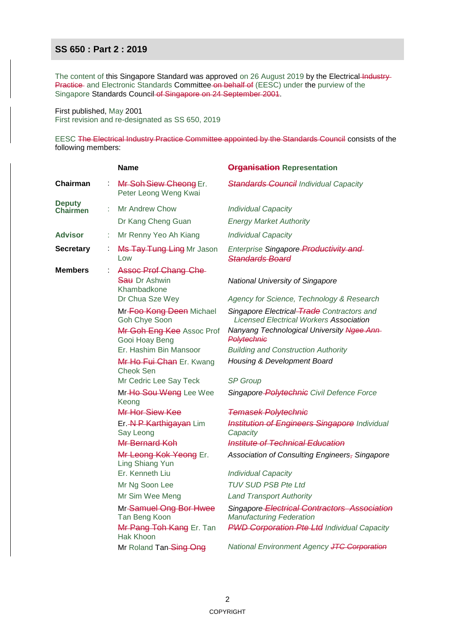The content of this Singapore Standard was approved on 26 August 2019 by the Electrical-Industry-Practice and Electronic Standards Committee on behalf of (EESC) under the purview of the Singapore Standards Council of Singapore on 24 September 2001.

First published, May 2001 First revision and re-designated as SS 650, 2019

EESC The Electrical Industry Practice Committee appointed by the Standards Council consists of the following members:

|                                  |   | <b>Name</b>                                                                     | <b>Organisation Representation</b>                                                           |
|----------------------------------|---|---------------------------------------------------------------------------------|----------------------------------------------------------------------------------------------|
| <b>Chairman</b>                  |   | Mr Soh Siew Cheong Er.<br>Peter Leong Weng Kwai                                 | <b>Standards Council Individual Capacity</b>                                                 |
| <b>Deputy</b><br><b>Chairmen</b> |   | <b>Mr Andrew Chow</b>                                                           | <b>Individual Capacity</b>                                                                   |
|                                  |   | Dr Kang Cheng Guan                                                              | <b>Energy Market Authority</b>                                                               |
| <b>Advisor</b>                   | t | Mr Renny Yeo Ah Kiang                                                           | <b>Individual Capacity</b>                                                                   |
| <b>Secretary</b>                 | t | Ms Tay Tung Ling Mr Jason<br>Low                                                | Enterprise Singapore Productivity and<br><i><b>Standards Board</b></i>                       |
| <b>Members</b>                   |   | <b>Assoc Prof Chang Che-</b><br>Sau Dr Ashwin<br>Khambadkone<br>Dr Chua Sze Wey | <b>National University of Singapore</b><br>Agency for Science, Technology & Research         |
|                                  |   | Mr-Foo Kong Deen Michael<br>Goh Chye Soon                                       | Singapore Electrical Trade Contractors and<br><b>Licensed Electrical Workers Association</b> |
|                                  |   | Mr Goh Eng Kee Assoc Prof<br>Gooi Hoay Beng                                     | Nanyang Technological University Ngee Ann-<br>Polytechnic                                    |
|                                  |   | Er. Hashim Bin Mansoor                                                          | <b>Building and Construction Authority</b>                                                   |
|                                  |   | Mr Ho Fui Chan Er. Kwang<br>Cheok Sen                                           | Housing & Development Board                                                                  |
|                                  |   | Mr Cedric Lee Say Teck                                                          | <b>SP</b> Group                                                                              |
|                                  |   | Mr-Ho Sou Weng Lee Wee<br>Keong                                                 | Singapore Polytechnic Civil Defence Force                                                    |
|                                  |   | Mr Hor Siew Kee                                                                 | <b>Temasek Polytechnic</b>                                                                   |
|                                  |   | Er.-N-P Karthigayan Lim<br>Say Leong                                            | <b>Institution of Engineers Singapore Individual</b><br>Capacity                             |
|                                  |   | Mr Bernard Koh                                                                  | <b>Institute of Technical Education</b>                                                      |
|                                  |   | Mr Leong Kok Yeong Er.<br>Ling Shiang Yun                                       | Association of Consulting Engineers, Singapore                                               |
|                                  |   | Er. Kenneth Liu                                                                 | <b>Individual Capacity</b>                                                                   |
|                                  |   | Mr Ng Soon Lee                                                                  | <b>TUV SUD PSB Pte Ltd</b>                                                                   |
|                                  |   | Mr Sim Wee Meng                                                                 | <b>Land Transport Authority</b>                                                              |
|                                  |   | Mr-Samuel Ong Bor Hwee<br>Tan Beng Koon                                         | Singapore Electrical Contractors Association<br><b>Manufacturing Federation</b>              |
|                                  |   | Mr Pang Toh Kang Er. Tan<br>Hak Khoon                                           | <b>PWD Corporation Pte Ltd Individual Capacity</b>                                           |
|                                  |   | Mr Roland Tan-Sing Ong                                                          | National Environment Agency JTC Corporation                                                  |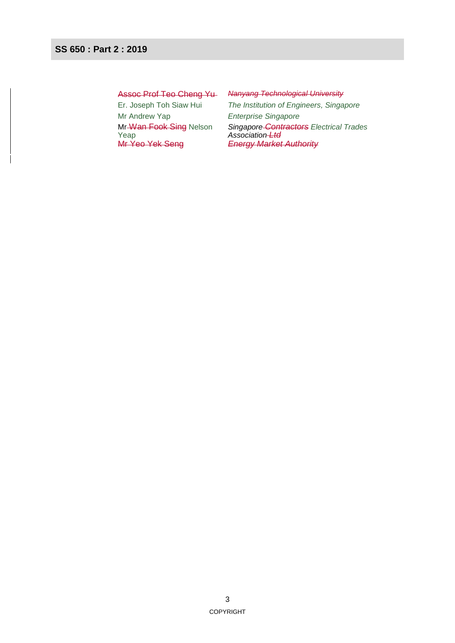Mr Andrew Yap *Enterprise Singapore* Mr-Wan Fook Sing Nelson Yeap<br>Mr Yeo Yek Seng

#### Assoc Prof Teo Cheng Yu *Nanyang Technological University*

Er. Joseph Toh Siaw Hui *The Institution of Engineers, Singapore Singapore Contractors Electrical Trades Association Ltd* **Energy Market Authority**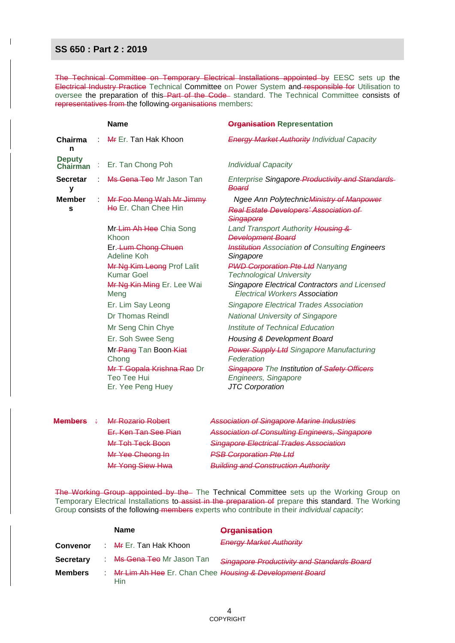$\overline{\phantom{a}}$ 

The Technical Committee on Temporary Electrical Installations appointed by EESC sets up the Electrical Industry Practice Technical Committee on Power System and responsible for Utilisation to oversee the preparation of this-Part of the Code- standard. The Technical Committee consists of representatives from the following organisations members:

|                                  | <b>Name</b>                                      | <b>Organisation Representation</b>                                                                      |
|----------------------------------|--------------------------------------------------|---------------------------------------------------------------------------------------------------------|
| Chairma<br>n                     | Mr Er. Tan Hak Khoon                             | <b>Energy Market Authority Individual Capacity</b>                                                      |
| <b>Deputy</b><br><b>Chairman</b> | Er. Tan Chong Poh                                | <b>Individual Capacity</b>                                                                              |
| <b>Secretar</b><br>۷             | Ms Gena Teo Mr Jason Tan                         | Enterprise Singapore Productivity and Standards<br>Board                                                |
| <b>Member</b><br>s               | Mr Foo Meng Wah Mr Jimmy<br>He Er. Chan Chee Hin | Ngee Ann Polytechnic Ministry of Manpower<br><b>Real Estate Developers' Association of</b><br>Singapore |
|                                  | Mr-Lim Ah Hee Chia Song<br>Khoon                 | Land Transport Authority Housing &<br><b>Development Board</b>                                          |
|                                  | Er. Lum Chong Chuen<br>Adeline Koh               | <b>Institution</b> Association of Consulting Engineers<br>Singapore                                     |
|                                  | Mr Ng Kim Leong Prof Lalit<br><b>Kumar Goel</b>  | <b>PWD Corporation Pte Ltd Nanyang</b><br><b>Technological University</b>                               |
|                                  | Mr Ng Kin Ming Er. Lee Wai<br>Meng               | Singapore Electrical Contractors and Licensed<br><b>Electrical Workers Association</b>                  |
|                                  | Er. Lim Say Leong                                | <b>Singapore Electrical Trades Association</b>                                                          |
|                                  | Dr Thomas Reindl                                 | <b>National University of Singapore</b>                                                                 |
|                                  | Mr Seng Chin Chye                                | Institute of Technical Education                                                                        |
|                                  | Er. Soh Swee Seng                                | <b>Housing &amp; Development Board</b>                                                                  |
|                                  | Mr-Pang Tan Boon-Kiat<br>Chong                   | <b>Power Supply Ltd Singapore Manufacturing</b><br>Federation                                           |
|                                  | Mr T Gopala Krishna Rao Dr<br>Teo Tee Hui        | Singapore The Institution of Safety Officers<br>Engineers, Singapore                                    |
|                                  | Er. Yee Peng Huey<br>Mr Rozario Robert           | <b>JTC</b> Corporation                                                                                  |
| Members                          |                                                  | <b>Association of Singapore Marine Industries</b>                                                       |

| <del>Members</del> | <del>Mr Rozario Robert</del> | Association of Singapore Marine Industries            |
|--------------------|------------------------------|-------------------------------------------------------|
|                    | Er. Ken Tan See Pian         | <b>Association of Consulting Engineers, Singapore</b> |
|                    | Mr Toh Teck Boon             | Singapore Electrical Trades Association               |
|                    | Mr Yee Cheong In             | <b>PSB Corporation Pte Ltd</b>                        |
|                    | Mr Yong Siew Hwa             | <b>Building and Construction Authority</b>            |

The Working Group appointed by the The Technical Committee sets up the Working Group on Temporary Electrical Installations to assist in the preparation of prepare this standard. The Working Group consists of the following members experts who contribute in their *individual capacity*:

|                  | <b>Name</b>                                                      | <b>Organisation</b>                        |
|------------------|------------------------------------------------------------------|--------------------------------------------|
| <b>Convenor</b>  | : Mr Er. Tan Hak Khoon                                           | <b>Energy Market Authority</b>             |
| <b>Secretary</b> | Ms Gena Teo Mr Jason Tan                                         | Singapore Productivity and Standards Board |
| <b>Members</b>   | : Mr Lim Ah Hee Er. Chan Chee Housing & Development Board<br>Hin |                                            |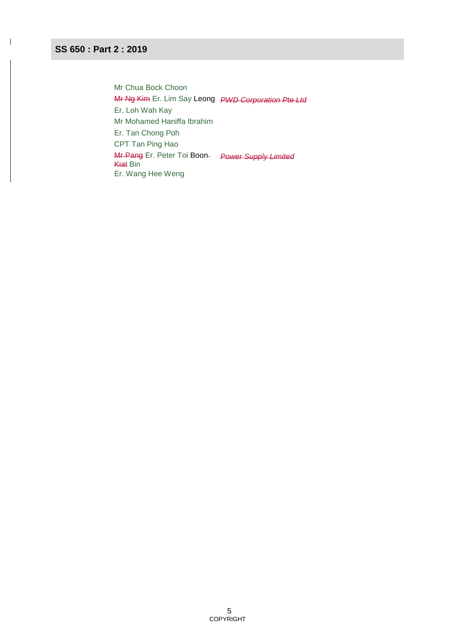$\overline{\phantom{a}}$ 

Mr Chua Bock Choon Mr Ng Kim Er. Lim Say Leong *PWD Corporation Pte Ltd* Er. Loh Wah Kay Mr Mohamed Haniffa Ibrahim Er. Tan Chong Poh CPT Tan Ping Hao Mr Pang Er. Peter Toi Boon *Power Supply Limited* **Kiat Bin** Er. Wang Hee Weng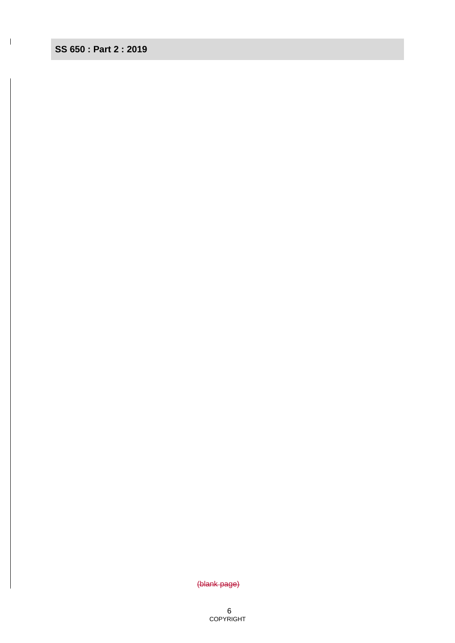$\mathbf I$ 

(blank page)

6 **COPYRIGHT**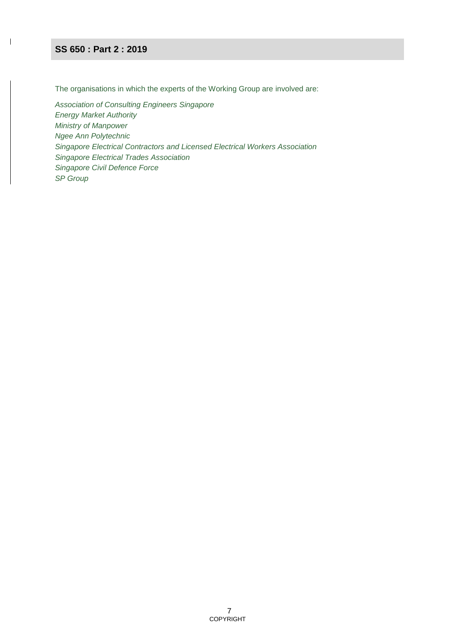$\overline{\phantom{a}}$ 

The organisations in which the experts of the Working Group are involved are:

*Association of Consulting Engineers Singapore Energy Market Authority Ministry of Manpower Ngee Ann Polytechnic Singapore Electrical Contractors and Licensed Electrical Workers Association Singapore Electrical Trades Association Singapore Civil Defence Force SP Group*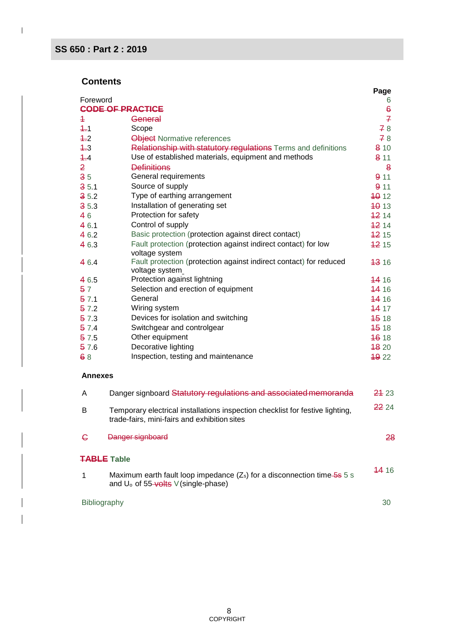$\overline{1}$ 

### **Contents**

|                |                                                                                                                                  | Page             |
|----------------|----------------------------------------------------------------------------------------------------------------------------------|------------------|
| Foreword       |                                                                                                                                  | 6                |
|                | <b>CODE OF PRACTICE</b>                                                                                                          | $\epsilon$       |
| $\overline{+}$ | General                                                                                                                          | $\overline{f}$   |
| $4 - 1$        | Scope                                                                                                                            | 78               |
| 4.2            | Object Normative references                                                                                                      | 78               |
| $4 - 3$        | Relationship with statutory regulations Terms and definitions                                                                    | 810              |
| 4.4            | Use of established materials, equipment and methods                                                                              | 811              |
| $\overline{2}$ | <b>Definitions</b>                                                                                                               | 8                |
| 35             | General requirements                                                                                                             | 911              |
| 35.1           | Source of supply                                                                                                                 | 911              |
| 35.2           | Type of earthing arrangement                                                                                                     | 40 12            |
| 35.3           | Installation of generating set                                                                                                   | <b>4013</b>      |
| 46             | Protection for safety                                                                                                            | 1214             |
| 46.1           | Control of supply                                                                                                                | 1214             |
| 46.2           | Basic protection (protection against direct contact)                                                                             | 1215             |
| 46.3           | Fault protection (protection against indirect contact) for low<br>voltage system                                                 | 42 15            |
| 464            | Fault protection (protection against indirect contact) for reduced<br>voltage system                                             | <del>13</del> 16 |
| 46.5           | Protection against lightning                                                                                                     | <b>44 16</b>     |
| 57             | Selection and erection of equipment                                                                                              | <b>44 16</b>     |
| 571            | General                                                                                                                          | 1416             |
| 57.2           | Wiring system                                                                                                                    | 14 17            |
| 57.3           | Devices for isolation and switching                                                                                              | 45 18            |
| 57.4           | Switchgear and controlgear                                                                                                       | 45 18            |
| 57.5           | Other equipment                                                                                                                  | 46 18            |
| 57.6           | Decorative lighting                                                                                                              | <b>4820</b>      |
| 68             | Inspection, testing and maintenance                                                                                              | <b>4922</b>      |
| <b>Annexes</b> |                                                                                                                                  |                  |
| A              | Danger signboard Statutory regulations and associated memoranda                                                                  | 24 23            |
| B              | Temporary electrical installations inspection checklist for festive lighting,                                                    | 22 24            |
|                | trade-fairs, mini-fairs and exhibition sites                                                                                     |                  |
| G              | 28<br>Danger signboard                                                                                                           |                  |
|                | <b>TABLE Table</b>                                                                                                               |                  |
| 1              | Maximum earth fault loop impedance $(Z_s)$ for a disconnection time- $5s$ 5 s<br>and U <sub>o</sub> of 55-volts V (single-phase) | <b>44</b> 16     |

#### Bibliography 30

 $\overline{\phantom{a}}$